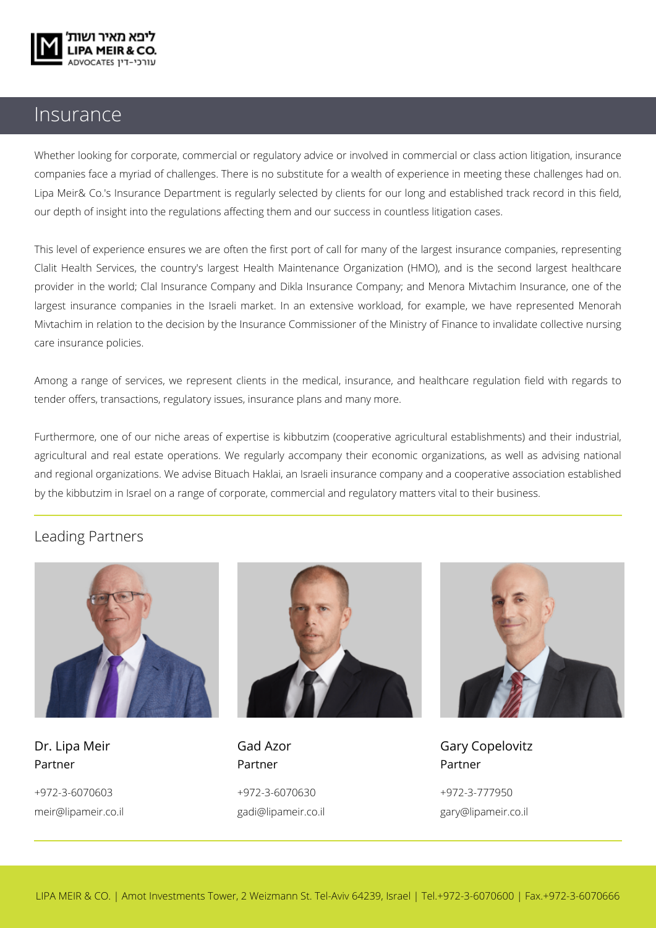

## Insurance

Whether looking for corporate, commercial or regulatory advice or involved in commercial or class action litigation, insurance companies face a myriad of challenges. There is no substitute for a wealth of experience in meeting these challenges had on. Lipa Meir& Co.'s Insurance Department is regularly selected by clients for our long and established track record in this field, our depth of insight into the regulations affecting them and our success in countless litigation cases.

This level of experience ensures we are often the first port of call for many of the largest insurance companies, representing Clalit Health Services, the country's largest Health Maintenance Organization (HMO), and is the second largest healthcare provider in the world; Clal Insurance Company and Dikla Insurance Company; and Menora Mivtachim Insurance, one of the largest insurance companies in the Israeli market. In an extensive workload, for example, we have represented Menorah Mivtachim in relation to the decision by the Insurance Commissioner of the Ministry of Finance to invalidate collective nursing care insurance policies.

Among a range of services, we represent clients in the medical, insurance, and healthcare regulation field with regards to tender offers, transactions, regulatory issues, insurance plans and many more.

Furthermore, one of our niche areas of expertise is kibbutzim (cooperative agricultural establishments) and their industrial, agricultural and real estate operations. We regularly accompany their economic organizations, as well as advising national and regional organizations. We advise Bituach Haklai, an Israeli insurance company and a cooperative association established by the kibbutzim in Israel on a range of corporate, commercial and regulatory matters vital to their business.

## Leading Partners



Partner Partner Partner

+972-3-6070603 +972-3-6070630 +972-3-777950





Dr. Lipa Meir **Gad Azor** Gad Azor Gary Copelovitz meir@lipameir.co.il gadi@lipameir.co.il gary@lipameir.co.il